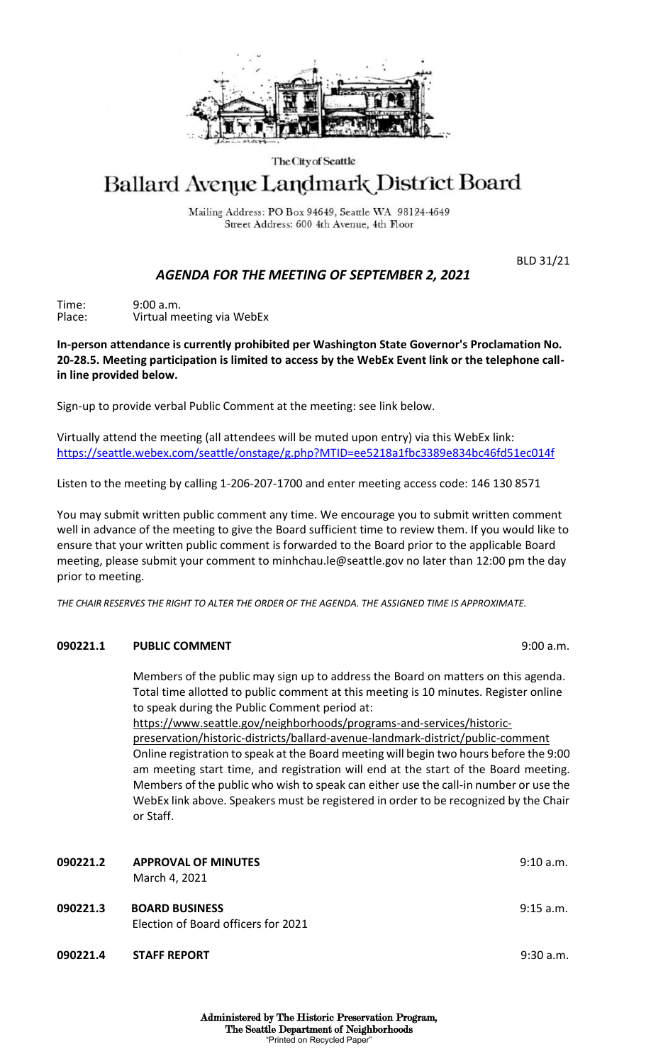

### The City of Seattle

# Ballard Avenue Landmark District Board

Mailing Address: PO Box 94649, Seattle WA 98124-4649 Street Address: 600 4th Avenue, 4th Floor

BLD 31/21

## *AGENDA FOR THE MEETING OF SEPTEMBER 2, 2021*

Time: 9:00 a.m. Place: Virtual meeting via WebEx

**In-person attendance is currently prohibited per Washington State Governor's Proclamation No. 20-28.5. Meeting participation is limited to access by the WebEx Event link or the telephone callin line provided below.** 

Sign-up to provide verbal Public Comment at the meeting: see link below.

Virtually attend the meeting (all attendees will be muted upon entry) via this WebEx link: <https://seattle.webex.com/seattle/onstage/g.php?MTID=ee5218a1fbc3389e834bc46fd51ec014f>

Listen to the meeting by calling 1-206-207-1700 and enter meeting access code: 146 130 8571

You may submit written public comment any time. We encourage you to submit written comment well in advance of the meeting to give the Board sufficient time to review them. If you would like to ensure that your written public comment is forwarded to the Board prior to the applicable Board meeting, please submit your comment to minhchau.le@seattle.gov no later than 12:00 pm the day prior to meeting.

*THE CHAIR RESERVES THE RIGHT TO ALTER THE ORDER OF THE AGENDA. THE ASSIGNED TIME IS APPROXIMATE.*

## **090221.1 PUBLIC COMMENT** 9:00 a.m.

Members of the public may sign up to address the Board on matters on this agenda. Total time allotted to public comment at this meeting is 10 minutes. Register online to speak during the Public Comment period at:

https://www.seattle.gov/neighborhoods/programs-and-services/historicpreservation/historic-districts/ballard-avenue-landmark-district/public-comment Online registration to speak at the Board meeting will begin two hours before the 9:00 am meeting start time, and registration will end at the start of the Board meeting. Members of the public who wish to speak can either use the call-in number or use the WebEx link above. Speakers must be registered in order to be recognized by the Chair or Staff.

| 090221.2 | <b>APPROVAL OF MINUTES</b><br>March 4, 2021                  | 9:10 a.m. |
|----------|--------------------------------------------------------------|-----------|
| 090221.3 | <b>BOARD BUSINESS</b><br>Election of Board officers for 2021 | 9:15 a.m. |
| 090221.4 | <b>STAFF REPORT</b>                                          | 9:30 a.m. |